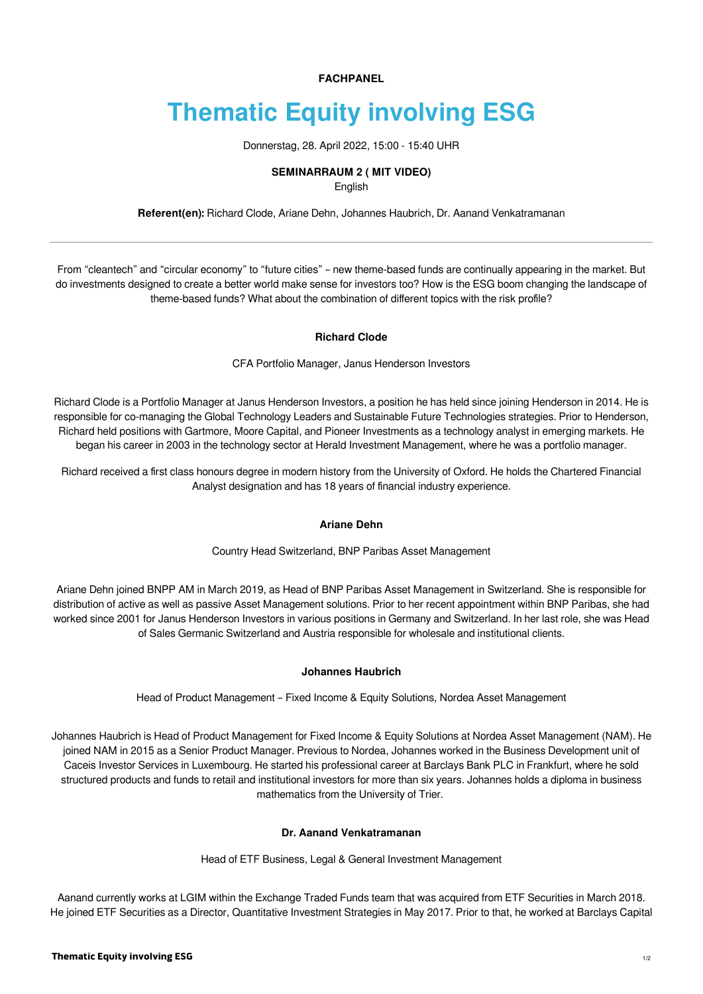**FACHPANEL**

# **Thematic Equity involving ESG**

Donnerstag, 28. April 2022, 15:00 - 15:40 UHR

#### **SEMINARRAUM 2 ( MIT VIDEO)**

English

**Referent(en):** [Richard Clode](https://finanzmesse.ch/referenten/referenten-2022/richard-clode-ref1-211.html), [Ariane Dehn](https://finanzmesse.ch/referenten/referenten-2022/ariane-dehn-ref2-211.html), [Johannes Haubrich](https://finanzmesse.ch/referenten/referenten-2022/johannes-haubrich-ref3-211.html), [Dr. Aanand Venkatramanan](https://finanzmesse.ch/referenten/referenten-2022/dr-aanand-venkatramanan-ref4-211.html)

From "cleantech" and "circular economy" to "future cities" – new theme-based funds are continually appearing in the market. But do investments designed to create a better world make sense for investors too? How is the ESG boom changing the landscape of theme-based funds? What about the combination of different topics with the risk profile?

#### **Richard Clode**

CFA Portfolio Manager, Janus Henderson Investors

Richard Clode is a Portfolio Manager at Janus Henderson Investors, a position he has held since joining Henderson in 2014. He is responsible for co-managing the Global Technology Leaders and Sustainable Future Technologies strategies. Prior to Henderson, Richard held positions with Gartmore, Moore Capital, and Pioneer Investments as a technology analyst in emerging markets. He began his career in 2003 in the technology sector at Herald Investment Management, where he was a portfolio manager.

Richard received a first class honours degree in modern history from the University of Oxford. He holds the Chartered Financial Analyst designation and has 18 years of financial industry experience.

## **Ariane Dehn**

Country Head Switzerland, BNP Paribas Asset Management

Ariane Dehn joined BNPP AM in March 2019, as Head of BNP Paribas Asset Management in Switzerland. She is responsible for distribution of active as well as passive Asset Management solutions. Prior to her recent appointment within BNP Paribas, she had worked since 2001 for Janus Henderson Investors in various positions in Germany and Switzerland. In her last role, she was Head of Sales Germanic Switzerland and Austria responsible for wholesale and institutional clients.

## **Johannes Haubrich**

Head of Product Management – Fixed Income & Equity Solutions, Nordea Asset Management

Johannes Haubrich is Head of Product Management for Fixed Income & Equity Solutions at Nordea Asset Management (NAM). He joined NAM in 2015 as a Senior Product Manager. Previous to Nordea, Johannes worked in the Business Development unit of Caceis Investor Services in Luxembourg. He started his professional career at Barclays Bank PLC in Frankfurt, where he sold structured products and funds to retail and institutional investors for more than six years. Johannes holds a diploma in business mathematics from the University of Trier.

## **Dr. Aanand Venkatramanan**

Head of ETF Business, Legal & General Investment Management

Aanand currently works at LGIM within the Exchange Traded Funds team that was acquired from ETF Securities in March 2018. He joined ETF Securities as a Director, Quantitative Investment Strategies in May 2017. Prior to that, he worked at Barclays Capital